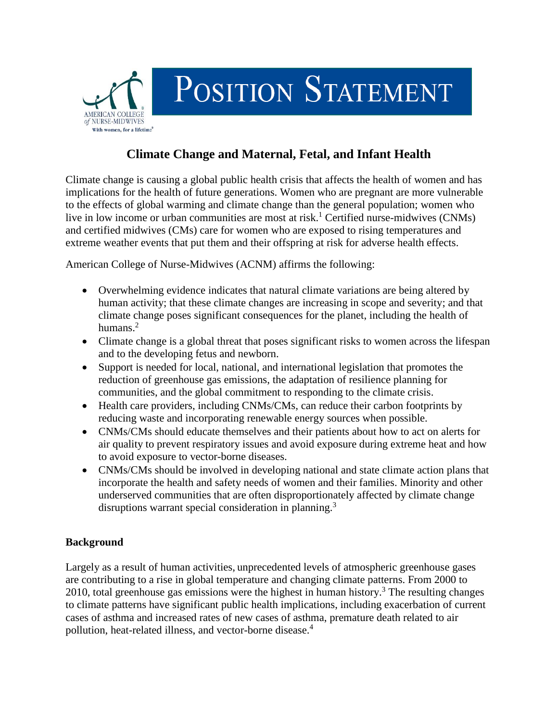

## **Climate Change and Maternal, Fetal, and Infant Health**

Climate change is causing a global public health crisis that affects the health of women and has implications for the health of future generations. Women who are pregnant are more vulnerable to the effects of global warming and climate change than the general population; women who live in low income or urban communities are most at risk.<sup>1</sup> Certified nurse-midwives (CNMs) and certified midwives (CMs) care for women who are exposed to rising temperatures and extreme weather events that put them and their offspring at risk for adverse health effects.

American College of Nurse-Midwives (ACNM) affirms the following:

- Overwhelming evidence indicates that natural climate variations are being altered by human activity; that these climate changes are increasing in scope and severity; and that climate change poses significant consequences for the planet, including the health of humans.<sup>2</sup>
- Climate change is a global threat that poses significant risks to women across the lifespan and to the developing fetus and newborn.
- Support is needed for local, national, and international legislation that promotes the reduction of greenhouse gas emissions, the adaptation of resilience planning for communities, and the global commitment to responding to the climate crisis.
- Health care providers, including CNMs/CMs, can reduce their carbon footprints by reducing waste and incorporating renewable energy sources when possible.
- CNMs/CMs should educate themselves and their patients about how to act on alerts for air quality to prevent respiratory issues and avoid exposure during extreme heat and how to avoid exposure to vector-borne diseases.
- CNMs/CMs should be involved in developing national and state climate action plans that incorporate the health and safety needs of women and their families. Minority and other underserved communities that are often disproportionately affected by climate change disruptions warrant special consideration in planning.<sup>3</sup>

## **Background**

Largely as a result of human activities, unprecedented levels of atmospheric greenhouse gases are contributing to a rise in global temperature and changing climate patterns. From 2000 to 2010, total greenhouse gas emissions were the highest in human history.<sup>3</sup> The resulting changes to climate patterns have significant public health implications, including exacerbation of current cases of asthma and increased rates of new cases of asthma, premature death related to air pollution, heat-related illness, and vector-borne disease.<sup>4</sup>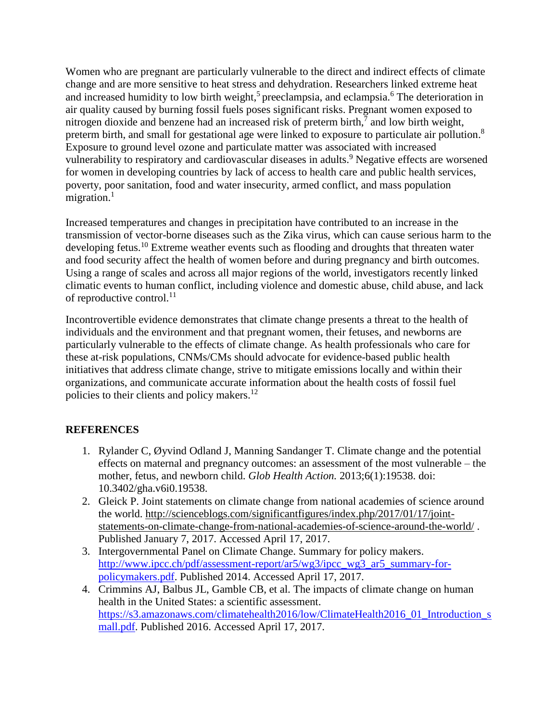Women who are pregnant are particularly vulnerable to the direct and indirect effects of climate change and are more sensitive to heat stress and dehydration. Researchers linked extreme heat and increased humidity to low birth weight,<sup>5</sup> preeclampsia, and eclampsia.<sup>6</sup> The deterioration in air quality caused by burning fossil fuels poses significant risks. Pregnant women exposed to nitrogen dioxide and benzene had an increased risk of preterm birth,<sup>7</sup> and low birth weight, preterm birth, and small for gestational age were linked to exposure to particulate air pollution.<sup>8</sup> Exposure to ground level ozone and particulate matter was associated with increased vulnerability to respiratory and cardiovascular diseases in adults.<sup>9</sup> Negative effects are worsened for women in developing countries by lack of access to health care and public health services, poverty, poor sanitation, food and water insecurity, armed conflict, and mass population migration. $1$ 

Increased temperatures and changes in precipitation have contributed to an increase in the transmission of vector-borne diseases such as the Zika virus, which can cause serious harm to the developing fetus.<sup>10</sup> Extreme weather events such as flooding and droughts that threaten water and food security affect the health of women before and during pregnancy and birth outcomes. Using a range of scales and across all major regions of the world, investigators recently linked climatic events to human conflict, including violence and domestic abuse, child abuse, and lack of reproductive control.<sup>11</sup>

Incontrovertible evidence demonstrates that climate change presents a threat to the health of individuals and the environment and that pregnant women, their fetuses, and newborns are particularly vulnerable to the effects of climate change. As health professionals who care for these at-risk populations, CNMs/CMs should advocate for evidence-based public health initiatives that address climate change, strive to mitigate emissions locally and within their organizations, and communicate accurate information about the health costs of fossil fuel policies to their clients and policy makers.<sup>12</sup>

## **REFERENCES**

- 1. Rylander C, Øyvind Odland J, Manning Sandanger T. Climate change and the potential effects on maternal and pregnancy outcomes: an assessment of the most vulnerable – the mother, fetus, and newborn child. *Glob Health Action.* 2013;6(1):19538. doi: 10.3402/gha.v6i0.19538.
- 2. Gleick P. Joint statements on climate change from national academies of science around the world. [http://scienceblogs.com/significantfigures/index.php/2017/01/17/joint](http://scienceblogs.com/significantfigures/index.php/2017/01/17/joint-statements-on-climate-change-from-national-academies-of-science-around-the-world/)[statements-on-climate-change-from-national-academies-of-science-around-the-world/](http://scienceblogs.com/significantfigures/index.php/2017/01/17/joint-statements-on-climate-change-from-national-academies-of-science-around-the-world/) . Published January 7, 2017. Accessed April 17, 2017.
- 3. Intergovernmental Panel on Climate Change. Summary for policy makers. [http://www.ipcc.ch/pdf/assessment-report/ar5/wg3/ipcc\\_wg3\\_ar5\\_summary-for](http://www.ipcc.ch/pdf/assessment-report/ar5/wg3/ipcc_wg3_ar5_summary-for-policymakers.pdf)[policymakers.pdf.](http://www.ipcc.ch/pdf/assessment-report/ar5/wg3/ipcc_wg3_ar5_summary-for-policymakers.pdf) Published 2014. Accessed April 17, 2017.
- 4. Crimmins AJ, Balbus JL, Gamble CB, et al. The impacts of climate change on human health in the United States: a scientific assessment. [https://s3.amazonaws.com/climatehealth2016/low/ClimateHealth2016\\_01\\_Introduction\\_s](https://s3.amazonaws.com/climatehealth2016/low/ClimateHealth2016_01_Introduction_small.pdf) [mall.pdf.](https://s3.amazonaws.com/climatehealth2016/low/ClimateHealth2016_01_Introduction_small.pdf) Published 2016. Accessed April 17, 2017.